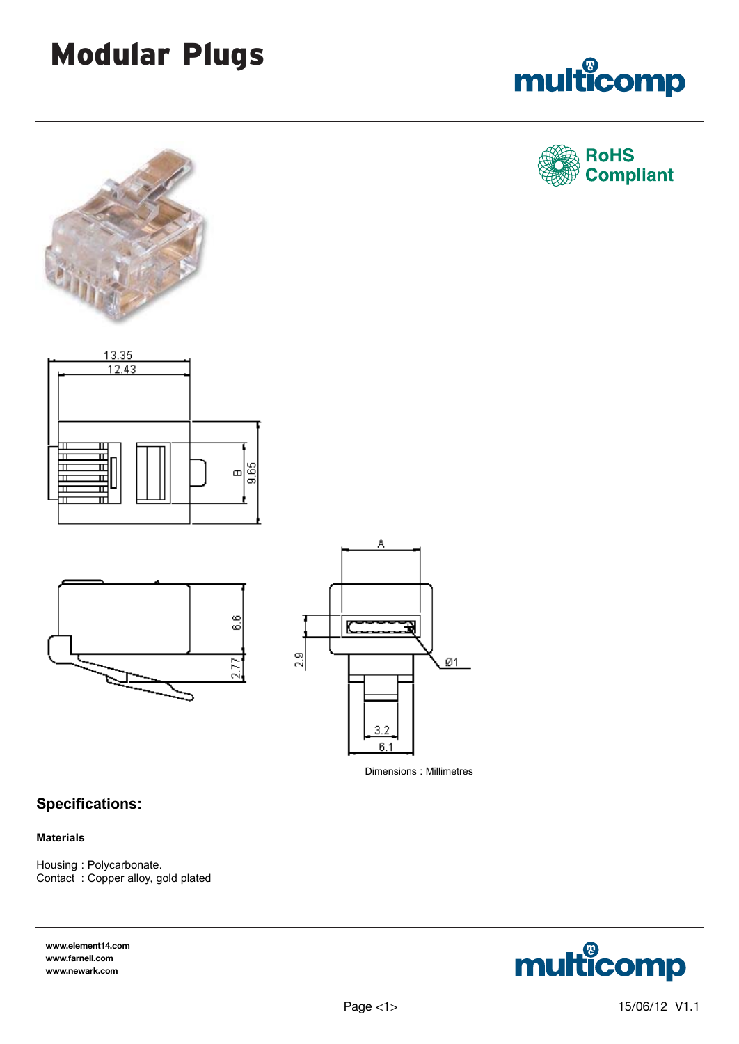# Modular Plugs













Dimensions : Millimetres

# **Specifications:**

#### **Materials**

Housing : Polycarbonate. Contact : Copper alloy, gold plated

**www.element14.com www.farnell.com www.newark.com**